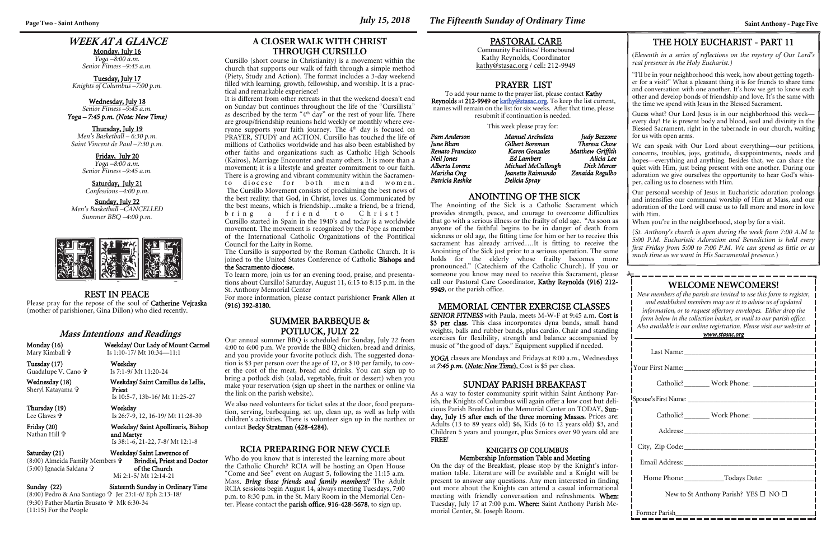# **WEEK AT A GLANCE**

Monday, July 16 *Yoga –8:00 a.m. Senior Fitness –9:45 a.m.* 

Tuesday, July 17 *Knights of Columbus –7:00 p.m.* 

#### Wednesday, July 18 *Senior Fitness –9:45 a.m. Yoga – 7:45 p.m. (Note: New Time)*

Thursday, July 19 *Men's Basketball – 6:30 p.m. Saint Vincent de Paul –7:30 p.m.* 

> Friday, July 20 *Yoga –8:00 a.m. Senior Fitness –9:45 a.m.*

#### Saturday, July 21 *Confessions –4:00 p.m.*

Sunday, July 22 *Men's Basketball –CANCELLED Summer BBQ –4:00 p.m.* 



### **WELCOME NEWCOMERS!**

*New members of the parish are invited to use this form to register, and established members may use it to advise us of updated information, or to request offertory envelopes. Either drop the form below in the collection basket, or mail to our parish office. Also available is our online registration. Please visit our website at* 

*www.stasac.org* 

| New to St Anthony Parish? YES $\square$ NO $\square$ |  |  |
|------------------------------------------------------|--|--|
| Former Parish                                        |  |  |

#### PASTORAL CARE

Community Facilities/ Homebound Kathy Reynolds, Coordinator kathy@stasac.org / cell: 212-9949

#### REST IN PEACE

Please pray for the repose of the soul of Catherine Vejraska (mother of parishioner, Gina Dillon) who died recently.

### ANOINTING OF THE SICK

 *YOGA* classes are Mondays and Fridays at 8:00 a.m., Wednesdays at **7:45 p.m.** (*Note: New Time*). Cost is \$5 per class.

The Anointing of the Sick is a Catholic Sacrament which provides strength, peace, and courage to overcome difficulties that go with a serious illness or the frailty of old age. "As soon as anyone of the faithful begins to be in danger of death from sickness or old age, the fitting time for him or her to receive this sacrament has already arrived….It is fitting to receive the Anointing of the Sick just prior to a serious operation. The same holds for the elderly whose frailty becomes more pronounced." (Catechism of the Catholic Church). If you or someone you know may need to receive this Sacrament, please call our Pastoral Care Coordinator, Kathy Reynolds (916) 212- 9949, or the parish office.

### **Mass Intentions and Readings**

Monday (16) Weekday/ Our Lady of Mount Carmel Is 1:10-17/ Mt 10:34—11:1

Mary Kimball

 Tuesday (17) Weekday Guadalupe V. Cano Is 7:1-9/ Mt 11:20-24

Wednesday (18) Weekday/ Saint Camillus de Lellis, Sheryl Katayama Priest

Is 10:5-7, 13b-16/ Mt 11:25-27

Thursday (19) Weekday Lee Glaves

Nathan Hill **†** 

 Is 26:7-9, 12, 16-19/ Mt 11:28-30 Friday (20) Weekday/ Saint Apollinaris, Bishop and Martyr Is 38:1-6, 21-22, 7-8/ Mt 12:1-8

Saturday (21) Weekday/ Saint Lawrence of

(8:00) Almeida Family Members (5:00) Ignacia Saldana

 Brindisi, Priest and Doctor of the Church

 Mi 2:1-5/ Mt 12:14-21 Sunday (22) Sixteenth Sunday in Ordinary Time

(8:00) Pedro & Ana Santiago Jer 23:1-6/ Eph 2:13-18/ (9:30) Father Martin Brusato Mk 6:30-34 (11:15) For the People

### PRAYER LIST

To add your name to the prayer list, please contact Kathy Reynolds at 212-9949 or kathy@stasac.org. To keep the list current, names will remain on the list for six weeks. After that time, please resubmit if continuation is needed.

This week please pray for:

| Pam Anderson     | Manuel Archuleta   | Judy Bezzone     |
|------------------|--------------------|------------------|
| June Blum        | Gilbert Boreman    | Theresa Chow     |
| Renato Francisco | Karen Gonzales     | Matthew Griffith |
| Neil Jones       | Ed Lambert         | Alicia Lee       |
| Alberta Lorenz   | Michael McCullough | Dick Mercer      |
| Marisha Ong      | Jeanette Raimundo  | Zenaida Regulbo  |
| Patricia Reshke  | Delicia Spray      |                  |

### MEMORIAL CENTER EXERCISE CLASSES

*SENIOR FITNESS* with Paula, meets M-W-F at 9:45 a.m. Cost is \$3 per class. This class incorporates dyna bands, small hand weights, balls and rubber bands, plus cardio. Chair and standing exercises for flexibility, strength and balance accompanied by music of "the good ol' days." Equipment supplied if needed.

It is different from other retreats in that the weekend doesn't end on Sunday but continues throughout the life of the "Cursillista" as described by the term "4th day" or the rest of your life. There are group/friendship reunions held weekly or monthly where everyone supports your faith journey. The 4<sup>th</sup> day is focused on PRAYER, STUDY and ACTION. Cursillo has touched the life of millions of Catholics worldwide and has also been established by other faiths and organizations such as Catholic High Schools (Kairos), Marriage Encounter and many others. It is more than a movement; it is a lifestyle and greater commitment to our faith. There is a growing and vibrant community within the Sacramento diocese for both men and women. The Cursillo Movement consists of proclaiming the best news of the best reality: that God, in Christ, loves us. Communicated by the best means, which is friendship…make a friend, be a friend, b r i n g a f r i e n d t o Ch r i s t !

### SUMMER BARBEQUE & POTLUCK, JULY 22

Our annual summer BBQ is scheduled for Sunday, July 22 from 4:00 to 6:00 p.m. We provide the BBQ chicken, bread and drinks, and you provide your favorite potluck dish. The suggested donation is \$3 per person over the age of 12, or \$10 per family, to cover the cost of the meat, bread and drinks. You can sign up to bring a potluck dish (salad, vegetable, fruit or dessert) when you make your reservation (sign up sheet in the narthex or online via the link on the parish website).

We also need volunteers for ticket sales at the door, food preparation, serving, barbequing, set up, clean up, as well as help with children's activities. There is volunteer sign up in the narthex or contact Becky Stratman (428-4284).

### THE HOLY EUCHARIST - PART 11

(*Eleventh in a series of reflections on the mystery of Our Lord's real presence in the Holy Eucharist.)* 

"I'll be in your neighborhood this week, how about getting together for a visit?" What a pleasant thing it is for friends to share time and conversation with one another. It's how we get to know each other and develop bonds of friendship and love. It's the same with the time we spend with Jesus in the Blessed Sacrament.

Guess what? Our Lord Jesus is in our neighborhood this week every day! He is present body and blood, soul and divinity in the Blessed Sacrament, right in the tabernacle in our church, waiting for us with open arms.

We can speak with Our Lord about everything—our petitions, concerns, troubles, joys, gratitude, disappointments, needs and hopes—everything and anything. Besides that, we can share the quiet with Him, just being present with one another. During our adoration we give ourselves the opportunity to hear God's whisper, calling us to closeness with Him.

Our personal worship of Jesus in Eucharistic adoration prolongs and intensifies our communal worship of Him at Mass, and our adoration of the Lord will cause us to fall more and more in love with Him.

When you're in the neighborhood, stop by for a visit.

(*St. Anthony's church is open during the week from 7:00 A.M to 5:00 P.M. Eucharistic Adoration and Benediction is held every first Friday from 5:00 to 7:00 P.M. We can spend as little or as much time as we want in His Sacramental presence.*)

### SUNDAY PARISH BREAKFAST

As a way to foster community spirit within Saint Anthony Parish, the Knights of Columbus will again offer a low cost but delicious Parish Breakfast in the Memorial Center on TODAY, Sunday, July 15 after each of the three morning Masses. Prices are: Adults (13 to 89 years old) \$6, Kids (6 to 12 years old) \$3, and Children 5 years and younger, plus Seniors over 90 years old are FREE!

#### KNIGHTS OF COLUMBUS Membership Information Table and Meeting

On the day of the Breakfast, please stop by the Knight's information table. Literature will be available and a Knight will be present to answer any questions. Any men interested in finding out more about the Knights can attend a casual informational meeting with friendly conversation and refreshments. When: Tuesday, July 17 at 7:00 p.m. Where: Saint Anthony Parish Memorial Center, St. Joseph Room.

#### **RCIA PREPARING FOR NEW CYCLE**

Who do you know that is interested the learning more about the Catholic Church? RCIA will be hosting an Open House "Come and See" event on August 5, following the 11:15 a.m. Mass. *Bring those friends and family members!!* The Adult RCIA sessions begin August 14, always meeting Tuesdays, 7:00 p.m. to 8:30 p.m. in the St. Mary Room in the Memorial Center. Please contact the parish office, 916-428-5678, to sign up.

### **Page Two - Saint Anthony Saint Anthony - Page Five** *July 15, 2018**The Fifteenth Sunday of Ordinary Time**Saint Anthony - Page Five*

### **A CLOSER WALK WITH CHRIST THROUGH CURSILLO**

Cursillo (short course in Christianity) is a movement within the church that supports our walk of faith through a simple method (Piety, Study and Action). The format includes a 3-day weekend filled with learning, growth, fellowship, and worship. It is a practical and remarkable experience!

Cursillo started in Spain in the 1940's and today is a worldwide movement. The movement is recognized by the Pope as member of the International Catholic Organizations of the Pontifical Council for the Laity in Rome.

The Cursillo is supported by the Roman Catholic Church. It is joined to the United States Conference of Catholic Bishops and the Sacramento diocese.

To learn more, join us for an evening food, praise, and presentations about Cursillo! Saturday, August 11, 6:15 to 8:15 p.m. in the St. Anthony Memorial Center

For more information, please contact parishioner Frank Allen at (916) 392-8180.